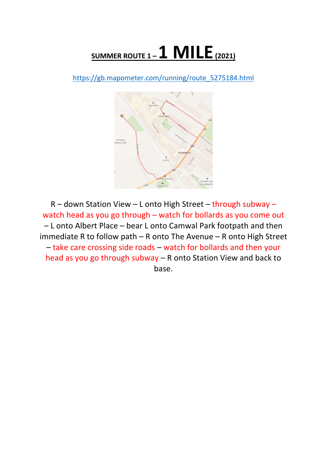## **SUMMER ROUTE 1 –1 MILE(2021)**

[https://gb.mapometer.com/running/route\\_5275184.html](https://gb.mapometer.com/running/route_5275184.html)



R – down Station View – L onto High Street – through subway – watch head as you go through – watch for bollards as you come out – L onto Albert Place – bear L onto Camwal Park footpath and then immediate R to follow path – R onto The Avenue – R onto High Street – take care crossing side roads – watch for bollards and then your head as you go through subway – R onto Station View and back to base.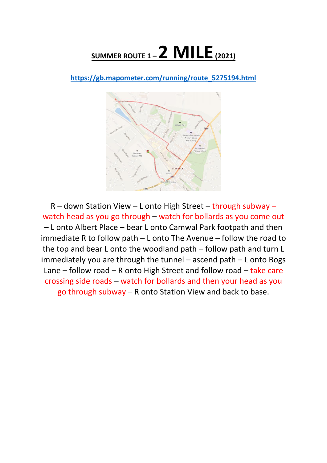## **SUMMER ROUTE 1 –2 MILE(2021)**

**[https://gb.mapometer.com/running/route\\_5275194.html](https://gb.mapometer.com/running/route_5275194.html)**



R – down Station View – L onto High Street – through subway – watch head as you go through – watch for bollards as you come out – L onto Albert Place – bear L onto Camwal Park footpath and then immediate R to follow path – L onto The Avenue – follow the road to the top and bear L onto the woodland path – follow path and turn L immediately you are through the tunnel – ascend path – L onto Bogs Lane – follow road – R onto High Street and follow road – take care crossing side roads – watch for bollards and then your head as you go through subway – R onto Station View and back to base.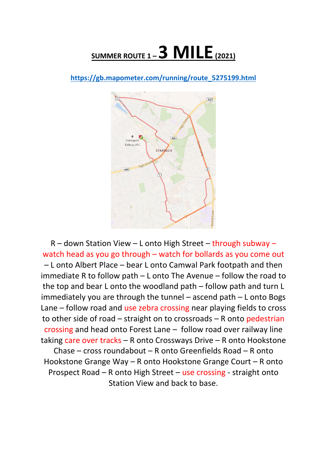## **SUMMER ROUTE 1 –3 MILE(2021)**

**[https://gb.mapometer.com/running/route\\_5275199.html](https://gb.mapometer.com/running/route_5275199.html)**



R – down Station View – L onto High Street – through subway – watch head as you go through – watch for bollards as you come out – L onto Albert Place – bear L onto Camwal Park footpath and then immediate R to follow path – L onto The Avenue – follow the road to the top and bear L onto the woodland path – follow path and turn L immediately you are through the tunnel – ascend path – L onto Bogs Lane – follow road and use zebra crossing near playing fields to cross to other side of road – straight on to crossroads – R onto pedestrian crossing and head onto Forest Lane – follow road over railway line taking care over tracks – R onto Crossways Drive – R onto Hookstone Chase – cross roundabout – R onto Greenfields Road – R onto Hookstone Grange Way – R onto Hookstone Grange Court – R onto Prospect Road – R onto High Street – use crossing - straight onto Station View and back to base.